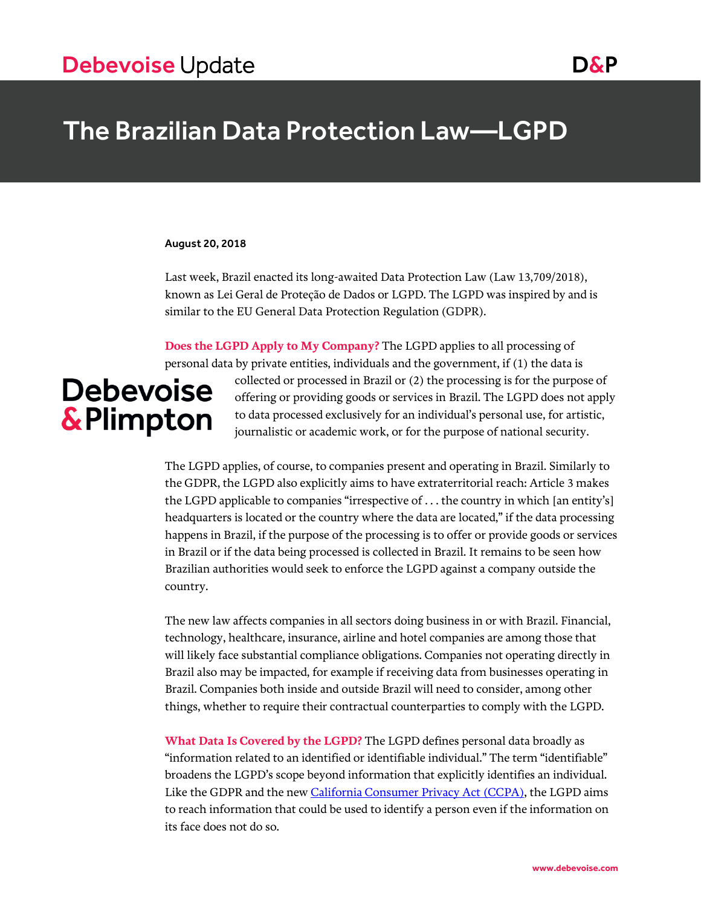# The Brazilian Data Protection Law—LGPD

#### August 20, 2018

Last week, Brazil enacted its long-awaited Data Protection Law (Law 13,709/2018), known as Lei Geral de Proteção de Dados or LGPD. The LGPD was inspired by and is similar to the EU General Data Protection Regulation (GDPR).

**Does the LGPD Apply to My Company?** The LGPD applies to all processing of personal data by private entities, individuals and the government, if (1) the data is collected or processed in Brazil or (2) the processing is for the purpose of **Debevoise** offering or providing goods or services in Brazil. The LGPD does not apply **&Plimpton** to data processed exclusively for an individual's personal use, for artistic, journalistic or academic work, or for the purpose of national security.

> The LGPD applies, of course, to companies present and operating in Brazil. Similarly to the GDPR, the LGPD also explicitly aims to have extraterritorial reach: Article 3 makes the LGPD applicable to companies "irrespective of . . . the country in which [an entity's] headquarters is located or the country where the data are located," if the data processing happens in Brazil, if the purpose of the processing is to offer or provide goods or services in Brazil or if the data being processed is collected in Brazil. It remains to be seen how Brazilian authorities would seek to enforce the LGPD against a company outside the country.

The new law affects companies in all sectors doing business in or with Brazil. Financial, technology, healthcare, insurance, airline and hotel companies are among those that will likely face substantial compliance obligations. Companies not operating directly in Brazil also may be impacted, for example if receiving data from businesses operating in Brazil. Companies both inside and outside Brazil will need to consider, among other things, whether to require their contractual counterparties to comply with the LGPD.

**What Data Is Covered by the LGPD?** The LGPD defines personal data broadly as "information related to an identified or identifiable individual." The term "identifiable" broadens the LGPD's scope beyond information that explicitly identifies an individual. Like the GDPR and the ne[w California Consumer Privacy Act \(CCPA\),](https://www.debevoise.com/insights/publications/2018/07/californias-new-consumer-privacy-act) the LGPD aims to reach information that could be used to identify a person even if the information on its face does not do so.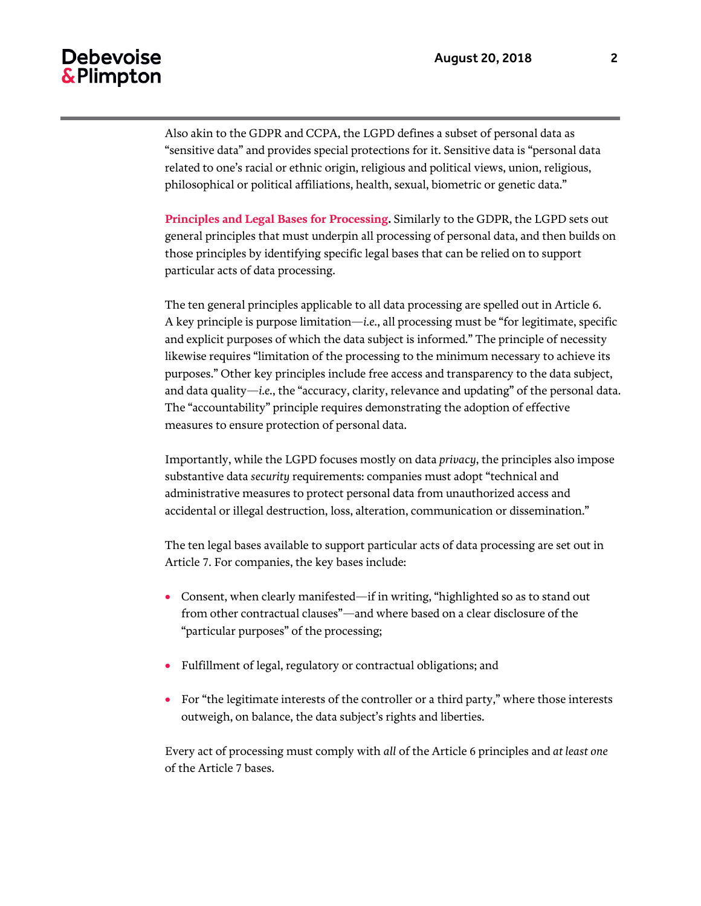Also akin to the GDPR and CCPA, the LGPD defines a subset of personal data as "sensitive data" and provides special protections for it. Sensitive data is "personal data related to one's racial or ethnic origin, religious and political views, union, religious, philosophical or political affiliations, health, sexual, biometric or genetic data."

**Principles and Legal Bases for Processing.** Similarly to the GDPR, the LGPD sets out general principles that must underpin all processing of personal data, and then builds on those principles by identifying specific legal bases that can be relied on to support particular acts of data processing.

The ten general principles applicable to all data processing are spelled out in Article 6. A key principle is purpose limitation—*i.e.*, all processing must be "for legitimate, specific and explicit purposes of which the data subject is informed." The principle of necessity likewise requires "limitation of the processing to the minimum necessary to achieve its purposes." Other key principles include free access and transparency to the data subject, and data quality—*i.e.*, the "accuracy, clarity, relevance and updating" of the personal data. The "accountability" principle requires demonstrating the adoption of effective measures to ensure protection of personal data.

Importantly, while the LGPD focuses mostly on data *privacy*, the principles also impose substantive data *security* requirements: companies must adopt "technical and administrative measures to protect personal data from unauthorized access and accidental or illegal destruction, loss, alteration, communication or dissemination."

The ten legal bases available to support particular acts of data processing are set out in Article 7. For companies, the key bases include:

- Consent, when clearly manifested—if in writing, "highlighted so as to stand out from other contractual clauses"—and where based on a clear disclosure of the "particular purposes" of the processing;
- Fulfillment of legal, regulatory or contractual obligations; and
- For "the legitimate interests of the controller or a third party," where those interests outweigh, on balance, the data subject's rights and liberties.

Every act of processing must comply with *all* of the Article 6 principles and *at least one* of the Article 7 bases.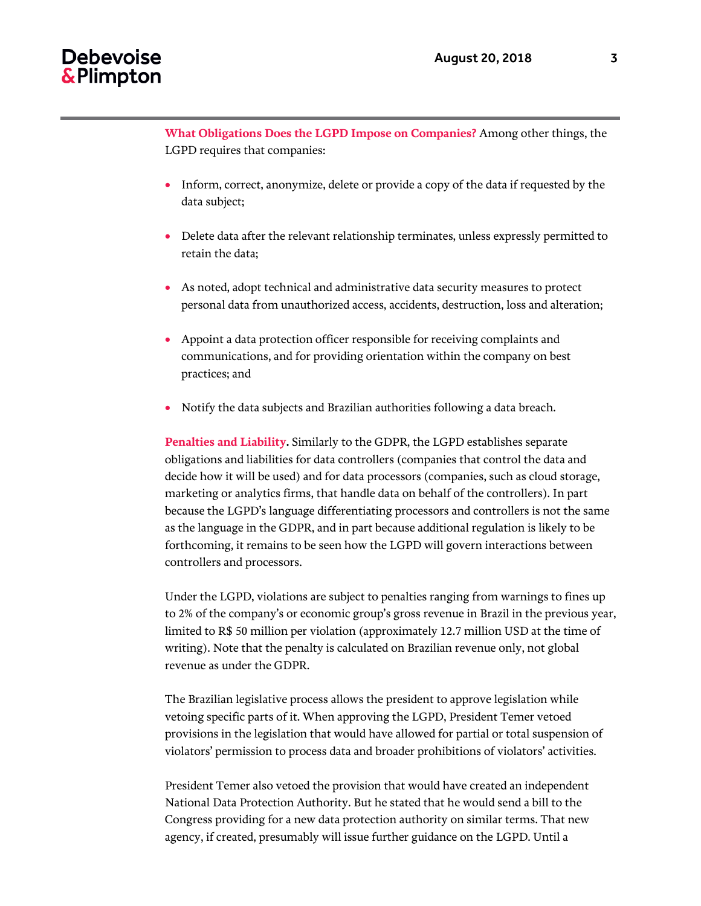**What Obligations Does the LGPD Impose on Companies?** Among other things, the LGPD requires that companies:

- Inform, correct, anonymize, delete or provide a copy of the data if requested by the data subject;
- Delete data after the relevant relationship terminates, unless expressly permitted to retain the data;
- As noted, adopt technical and administrative data security measures to protect personal data from unauthorized access, accidents, destruction, loss and alteration;
- Appoint a data protection officer responsible for receiving complaints and communications, and for providing orientation within the company on best practices; and
- Notify the data subjects and Brazilian authorities following a data breach.

**Penalties and Liability.** Similarly to the GDPR, the LGPD establishes separate obligations and liabilities for data controllers (companies that control the data and decide how it will be used) and for data processors (companies, such as cloud storage, marketing or analytics firms, that handle data on behalf of the controllers). In part because the LGPD's language differentiating processors and controllers is not the same as the language in the GDPR, and in part because additional regulation is likely to be forthcoming, it remains to be seen how the LGPD will govern interactions between controllers and processors.

Under the LGPD, violations are subject to penalties ranging from warnings to fines up to 2% of the company's or economic group's gross revenue in Brazil in the previous year, limited to R\$ 50 million per violation (approximately 12.7 million USD at the time of writing). Note that the penalty is calculated on Brazilian revenue only, not global revenue as under the GDPR.

The Brazilian legislative process allows the president to approve legislation while vetoing specific parts of it. When approving the LGPD, President Temer vetoed provisions in the legislation that would have allowed for partial or total suspension of violators' permission to process data and broader prohibitions of violators' activities.

President Temer also vetoed the provision that would have created an independent National Data Protection Authority. But he stated that he would send a bill to the Congress providing for a new data protection authority on similar terms. That new agency, if created, presumably will issue further guidance on the LGPD. Until a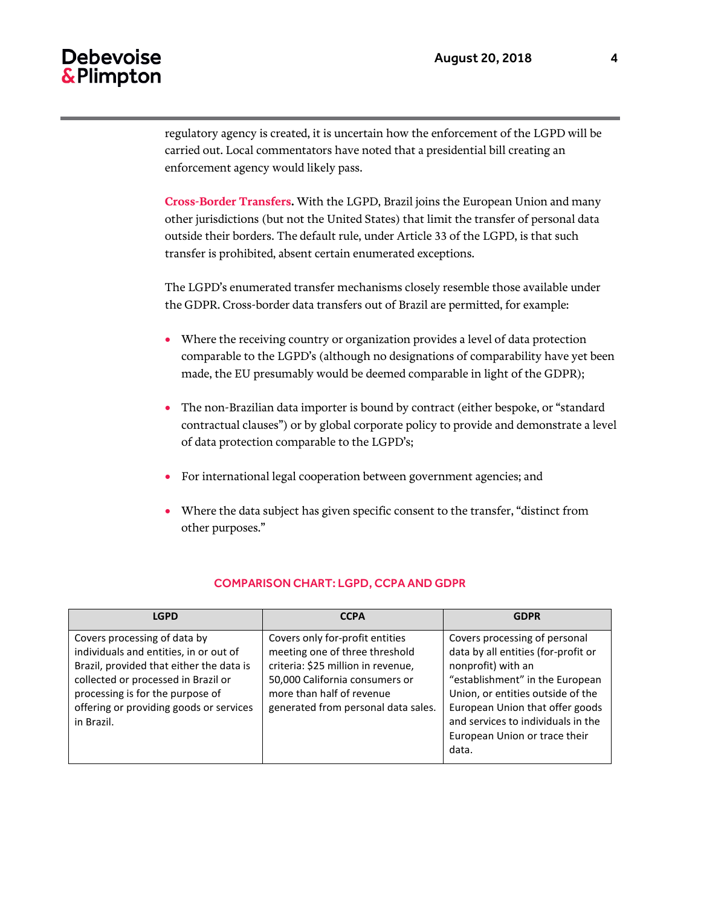## **Debevoise** & Plimpton

regulatory agency is created, it is uncertain how the enforcement of the LGPD will be carried out. Local commentators have noted that a presidential bill creating an enforcement agency would likely pass.

**Cross-Border Transfers.** With the LGPD, Brazil joins the European Union and many other jurisdictions (but not the United States) that limit the transfer of personal data outside their borders. The default rule, under Article 33 of the LGPD, is that such transfer is prohibited, absent certain enumerated exceptions.

The LGPD's enumerated transfer mechanisms closely resemble those available under the GDPR. Cross-border data transfers out of Brazil are permitted, for example:

- Where the receiving country or organization provides a level of data protection comparable to the LGPD's (although no designations of comparability have yet been made, the EU presumably would be deemed comparable in light of the GDPR);
- The non-Brazilian data importer is bound by contract (either bespoke, or "standard contractual clauses") or by global corporate policy to provide and demonstrate a level of data protection comparable to the LGPD's;
- For international legal cooperation between government agencies; and
- Where the data subject has given specific consent to the transfer, "distinct from other purposes."

| <b>LGPD</b>                                                                                                                                                                                                                                            | <b>CCPA</b>                                                                                                                                                                                                   | <b>GDPR</b>                                                                                                                                                                                                                                                                           |
|--------------------------------------------------------------------------------------------------------------------------------------------------------------------------------------------------------------------------------------------------------|---------------------------------------------------------------------------------------------------------------------------------------------------------------------------------------------------------------|---------------------------------------------------------------------------------------------------------------------------------------------------------------------------------------------------------------------------------------------------------------------------------------|
| Covers processing of data by<br>individuals and entities, in or out of<br>Brazil, provided that either the data is<br>collected or processed in Brazil or<br>processing is for the purpose of<br>offering or providing goods or services<br>in Brazil. | Covers only for-profit entities<br>meeting one of three threshold<br>criteria: \$25 million in revenue,<br>50,000 California consumers or<br>more than half of revenue<br>generated from personal data sales. | Covers processing of personal<br>data by all entities (for-profit or<br>nonprofit) with an<br>"establishment" in the European<br>Union, or entities outside of the<br>European Union that offer goods<br>and services to individuals in the<br>European Union or trace their<br>data. |

### COMPARISON CHART: LGPD, CCPA AND GDPR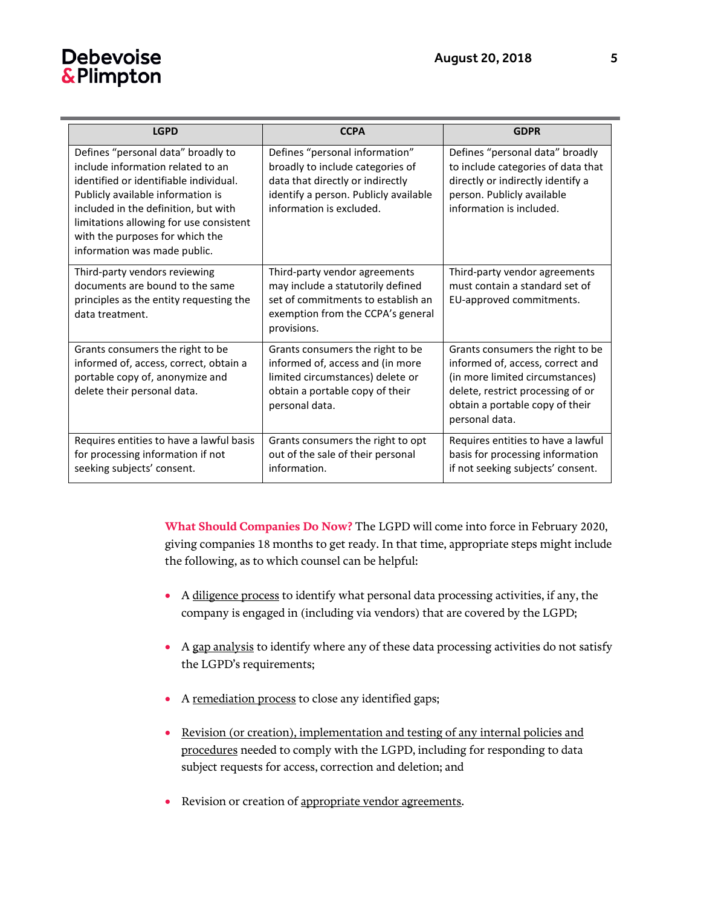# **Debevoise** & Plimpton

| <b>LGPD</b>                                                                                                                                                                                                                                                                                                  | <b>CCPA</b>                                                                                                                                                                 | <b>GDPR</b>                                                                                                                                                                                       |
|--------------------------------------------------------------------------------------------------------------------------------------------------------------------------------------------------------------------------------------------------------------------------------------------------------------|-----------------------------------------------------------------------------------------------------------------------------------------------------------------------------|---------------------------------------------------------------------------------------------------------------------------------------------------------------------------------------------------|
| Defines "personal data" broadly to<br>include information related to an<br>identified or identifiable individual.<br>Publicly available information is<br>included in the definition, but with<br>limitations allowing for use consistent<br>with the purposes for which the<br>information was made public. | Defines "personal information"<br>broadly to include categories of<br>data that directly or indirectly<br>identify a person. Publicly available<br>information is excluded. | Defines "personal data" broadly<br>to include categories of data that<br>directly or indirectly identify a<br>person. Publicly available<br>information is included.                              |
| Third-party vendors reviewing<br>documents are bound to the same<br>principles as the entity requesting the<br>data treatment.                                                                                                                                                                               | Third-party vendor agreements<br>may include a statutorily defined<br>set of commitments to establish an<br>exemption from the CCPA's general<br>provisions.                | Third-party vendor agreements<br>must contain a standard set of<br>EU-approved commitments.                                                                                                       |
| Grants consumers the right to be<br>informed of, access, correct, obtain a<br>portable copy of, anonymize and<br>delete their personal data.                                                                                                                                                                 | Grants consumers the right to be<br>informed of, access and (in more<br>limited circumstances) delete or<br>obtain a portable copy of their<br>personal data.               | Grants consumers the right to be<br>informed of, access, correct and<br>(in more limited circumstances)<br>delete, restrict processing of or<br>obtain a portable copy of their<br>personal data. |
| Requires entities to have a lawful basis<br>for processing information if not<br>seeking subjects' consent.                                                                                                                                                                                                  | Grants consumers the right to opt<br>out of the sale of their personal<br>information.                                                                                      | Requires entities to have a lawful<br>basis for processing information<br>if not seeking subjects' consent.                                                                                       |

**What Should Companies Do Now?** The LGPD will come into force in February 2020, giving companies 18 months to get ready. In that time, appropriate steps might include the following, as to which counsel can be helpful:

- A diligence process to identify what personal data processing activities, if any, the company is engaged in (including via vendors) that are covered by the LGPD;
- A gap analysis to identify where any of these data processing activities do not satisfy the LGPD's requirements;
- A remediation process to close any identified gaps;
- Revision (or creation), implementation and testing of any internal policies and procedures needed to comply with the LGPD, including for responding to data subject requests for access, correction and deletion; and
- Revision or creation of appropriate vendor agreements.